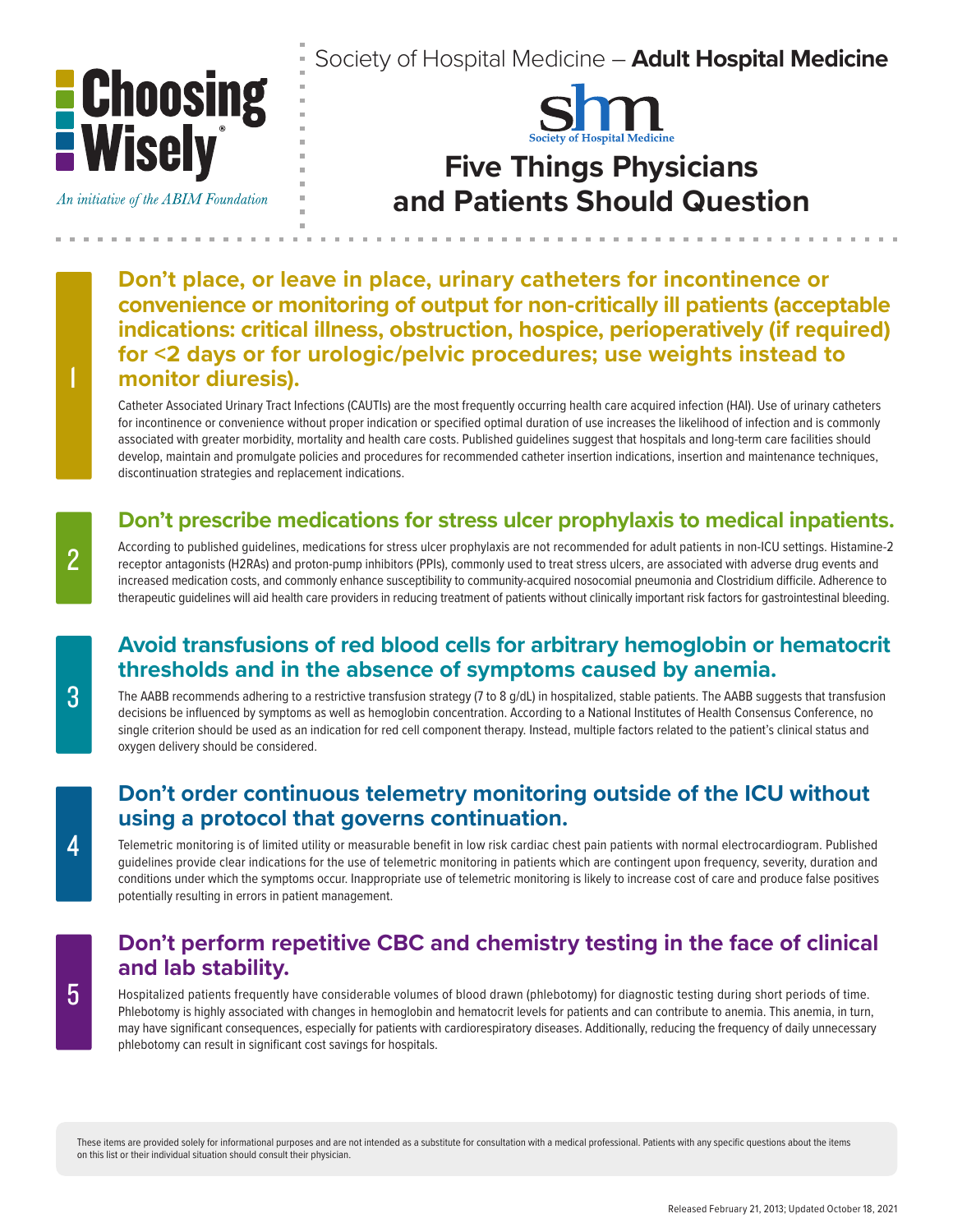

An initiative of the ABIM Foundation

Society of Hospital Medicine – **Adult Hospital Medicine**



# **Five Things Physicians and Patients Should Question**

**Don't place, or leave in place, urinary catheters for incontinence or convenience or monitoring of output for non-critically ill patients (acceptable indications: critical illness, obstruction, hospice, perioperatively (if required) for <2 days or for urologic/pelvic procedures; use weights instead to monitor diuresis).** 

Catheter Associated Urinary Tract Infections (CAUTIs) are the most frequently occurring health care acquired infection (HAI). Use of urinary catheters for incontinence or convenience without proper indication or specified optimal duration of use increases the likelihood of infection and is commonly associated with greater morbidity, mortality and health care costs. Published guidelines suggest that hospitals and long-term care facilities should develop, maintain and promulgate policies and procedures for recommended catheter insertion indications, insertion and maintenance techniques, discontinuation strategies and replacement indications.

### **Don't prescribe medications for stress ulcer prophylaxis to medical inpatients.**

According to published guidelines, medications for stress ulcer prophylaxis are not recommended for adult patients in non-ICU settings. Histamine-2 receptor antagonists (H2RAs) and proton-pump inhibitors (PPIs), commonly used to treat stress ulcers, are associated with adverse drug events and increased medication costs, and commonly enhance susceptibility to community-acquired nosocomial pneumonia and Clostridium difficile. Adherence to therapeutic guidelines will aid health care providers in reducing treatment of patients without clinically important risk factors for gastrointestinal bleeding.

#### **Avoid transfusions of red blood cells for arbitrary hemoglobin or hematocrit thresholds and in the absence of symptoms caused by anemia.**

The AABB recommends adhering to a restrictive transfusion strategy (7 to 8 g/dL) in hospitalized, stable patients. The AABB suggests that transfusion decisions be influenced by symptoms as well as hemoglobin concentration. According to a National Institutes of Health Consensus Conference, no single criterion should be used as an indication for red cell component therapy. Instead, multiple factors related to the patient's clinical status and oxygen delivery should be considered.

#### **Don't order continuous telemetry monitoring outside of the ICU without using a protocol that governs continuation.**

Telemetric monitoring is of limited utility or measurable benefit in low risk cardiac chest pain patients with normal electrocardiogram. Published guidelines provide clear indications for the use of telemetric monitoring in patients which are contingent upon frequency, severity, duration and conditions under which the symptoms occur. Inappropriate use of telemetric monitoring is likely to increase cost of care and produce false positives potentially resulting in errors in patient management.

#### **Don't perform repetitive CBC and chemistry testing in the face of clinical and lab stability.**

Hospitalized patients frequently have considerable volumes of blood drawn (phlebotomy) for diagnostic testing during short periods of time. Phlebotomy is highly associated with changes in hemoglobin and hematocrit levels for patients and can contribute to anemia. This anemia, in turn, may have significant consequences, especially for patients with cardiorespiratory diseases. Additionally, reducing the frequency of daily unnecessary phlebotomy can result in significant cost savings for hospitals.

These items are provided solely for informational purposes and are not intended as a substitute for consultation with a medical professional. Patients with any specific questions about the items on this list or their individual situation should consult their physician.

1

3

5